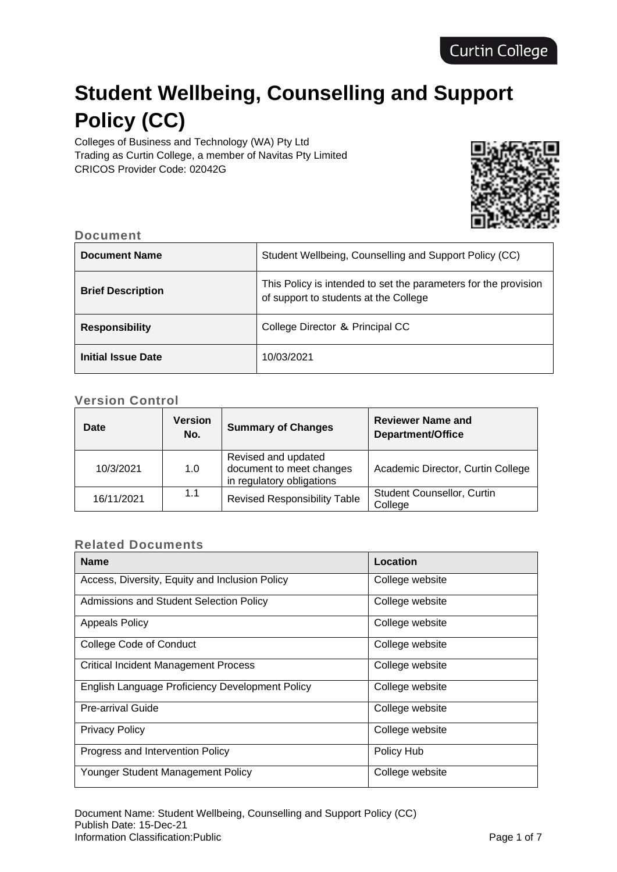# **Student Wellbeing, Counselling and Support Policy (CC)**

Colleges of Business and Technology (WA) Pty Ltd Trading as Curtin College, a member of Navitas Pty Limited CRICOS Provider Code: 02042G



#### **Document**

| <b>Document Name</b>     | Student Wellbeing, Counselling and Support Policy (CC)                                                   |
|--------------------------|----------------------------------------------------------------------------------------------------------|
| <b>Brief Description</b> | This Policy is intended to set the parameters for the provision<br>of support to students at the College |
| <b>Responsibility</b>    | College Director & Principal CC                                                                          |
| Initial Issue Date       | 10/03/2021                                                                                               |

# **Version Control**

| <b>Date</b> | <b>Version</b><br>No. | <b>Summary of Changes</b>                                                    | <b>Reviewer Name and</b><br>Department/Office |
|-------------|-----------------------|------------------------------------------------------------------------------|-----------------------------------------------|
| 10/3/2021   | 1.0                   | Revised and updated<br>document to meet changes<br>in regulatory obligations | Academic Director, Curtin College             |
| 16/11/2021  | 1.1                   | <b>Revised Responsibility Table</b>                                          | <b>Student Counsellor, Curtin</b><br>College  |

#### **Related Documents**

| <b>Name</b>                                     | Location        |
|-------------------------------------------------|-----------------|
| Access, Diversity, Equity and Inclusion Policy  | College website |
| Admissions and Student Selection Policy         | College website |
| <b>Appeals Policy</b>                           | College website |
| <b>College Code of Conduct</b>                  | College website |
| <b>Critical Incident Management Process</b>     | College website |
| English Language Proficiency Development Policy | College website |
| <b>Pre-arrival Guide</b>                        | College website |
| <b>Privacy Policy</b>                           | College website |
| Progress and Intervention Policy                | Policy Hub      |
| Younger Student Management Policy               | College website |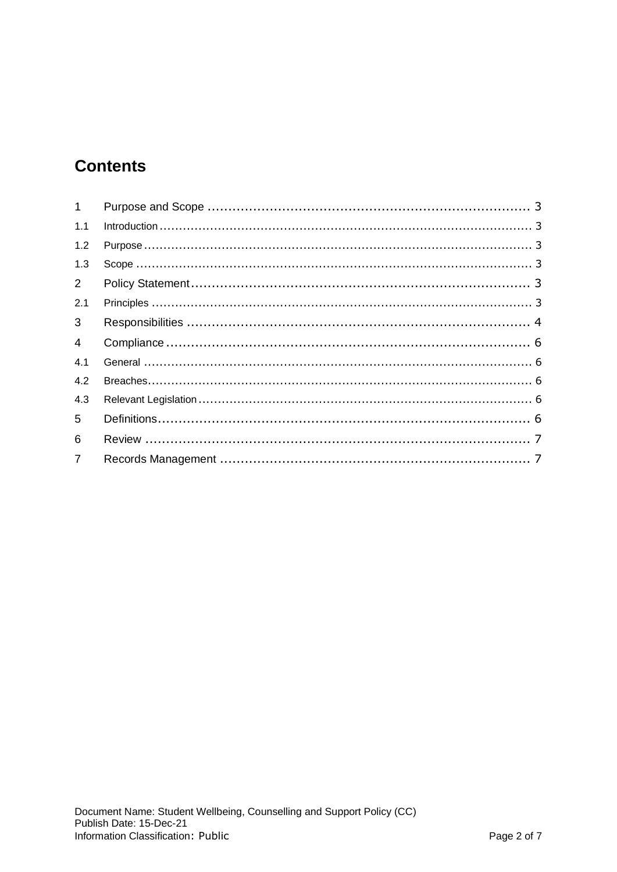# **Contents**

| 1              |  |
|----------------|--|
| 1.1            |  |
| 1.2            |  |
| 1.3            |  |
| $2^{\circ}$    |  |
| 2.1            |  |
| 3 <sup>7</sup> |  |
| $\overline{4}$ |  |
| 4.1            |  |
| 4.2            |  |
| 4.3            |  |
| 5              |  |
| 6              |  |
| $\overline{7}$ |  |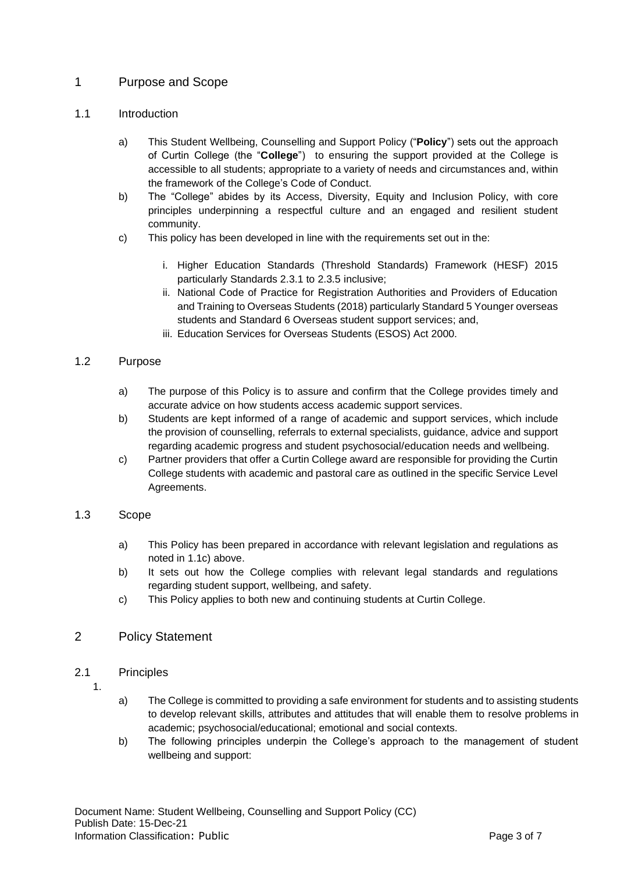## <span id="page-2-0"></span>1 Purpose and Scope

#### <span id="page-2-1"></span>1.1 Introduction

- a) This Student Wellbeing, Counselling and Support Policy ("**Policy**") sets out the approach of Curtin College (the "**College**") to ensuring the support provided at the College is accessible to all students; appropriate to a variety of needs and circumstances and, within the framework of the College's Code of Conduct.
- b) The "College" abides by its Access, Diversity, Equity and Inclusion Policy, with core principles underpinning a respectful culture and an engaged and resilient student community.
- c) This policy has been developed in line with the requirements set out in the:
	- i. Higher Education Standards (Threshold Standards) Framework (HESF) 2015 particularly Standards 2.3.1 to 2.3.5 inclusive;
	- ii. National Code of Practice for Registration Authorities and Providers of Education and Training to Overseas Students (2018) particularly Standard 5 Younger overseas students and Standard 6 Overseas student support services; and,
	- iii. Education Services for Overseas Students (ESOS) Act 2000.

#### <span id="page-2-2"></span>1.2 Purpose

- a) The purpose of this Policy is to assure and confirm that the College provides timely and accurate advice on how students access academic support services.
- b) Students are kept informed of a range of academic and support services, which include the provision of counselling, referrals to external specialists, guidance, advice and support regarding academic progress and student psychosocial/education needs and wellbeing.
- c) Partner providers that offer a Curtin College award are responsible for providing the Curtin College students with academic and pastoral care as outlined in the specific Service Level Agreements.

#### <span id="page-2-3"></span>1.3 Scope

- a) This Policy has been prepared in accordance with relevant legislation and regulations as noted in 1.1c) above.
- b) It sets out how the College complies with relevant legal standards and regulations regarding student support, wellbeing, and safety.
- c) This Policy applies to both new and continuing students at Curtin College.

#### <span id="page-2-4"></span>2 Policy Statement

#### <span id="page-2-5"></span>2.1 Principles

- 1.
- a) The College is committed to providing a safe environment for students and to assisting students to develop relevant skills, attributes and attitudes that will enable them to resolve problems in academic; psychosocial/educational; emotional and social contexts.
- b) The following principles underpin the College's approach to the management of student wellbeing and support: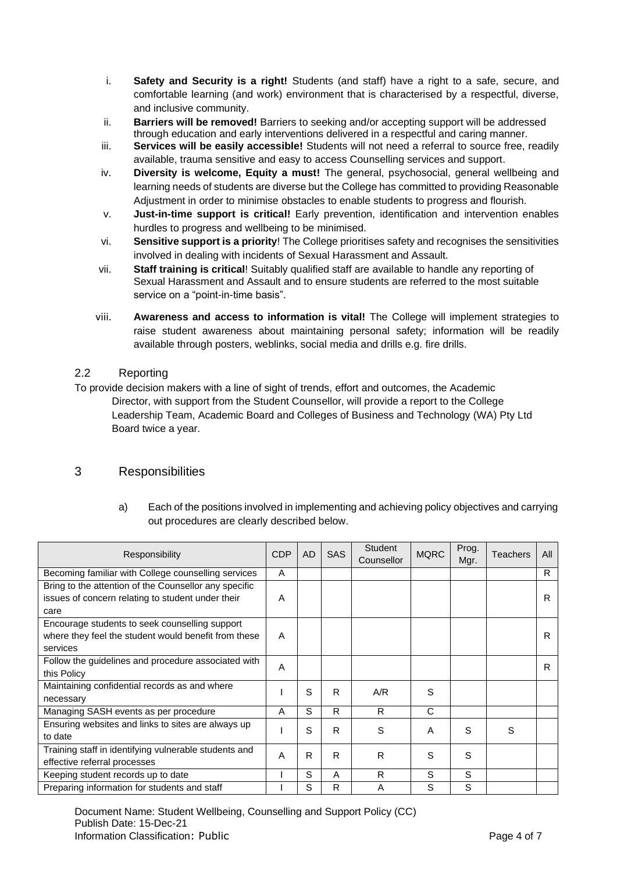- i. **Safety and Security is a right!** Students (and staff) have a right to a safe, secure, and comfortable learning (and work) environment that is characterised by a respectful, diverse, and inclusive community.
- ii. **Barriers will be removed!** Barriers to seeking and/or accepting support will be addressed through education and early interventions delivered in a respectful and caring manner.
- iii. **Services will be easily accessible!** Students will not need a referral to source free, readily available, trauma sensitive and easy to access Counselling services and support.
- iv. **Diversity is welcome, Equity a must!** The general, psychosocial, general wellbeing and learning needs of students are diverse but the College has committed to providing Reasonable Adjustment in order to minimise obstacles to enable students to progress and flourish.
- v. **Just-in-time support is critical!** Early prevention, identification and intervention enables hurdles to progress and wellbeing to be minimised.
- vi. **Sensitive support is a priority**! The College prioritises safety and recognises the sensitivities involved in dealing with incidents of Sexual Harassment and Assault.
- vii. **Staff training is critical**! Suitably qualified staff are available to handle any reporting of Sexual Harassment and Assault and to ensure students are referred to the most suitable service on a "point-in-time basis".
- viii. **Awareness and access to information is vital!** The College will implement strategies to raise student awareness about maintaining personal safety; information will be readily available through posters, weblinks, social media and drills e.g. fire drills.

#### 2.2 Reporting

To provide decision makers with a line of sight of trends, effort and outcomes, the Academic Director, with support from the Student Counsellor, will provide a report to the College Leadership Team, Academic Board and Colleges of Business and Technology (WA) Pty Ltd Board twice a year.

### <span id="page-3-0"></span>3 Responsibilities

a) Each of the positions involved in implementing and achieving policy objectives and carrying out procedures are clearly described below.

| Responsibility                                        | <b>CDP</b> | <b>AD</b> | <b>SAS</b> | <b>Student</b><br>Counsellor | <b>MQRC</b> | Prog.<br>Mgr. | <b>Teachers</b> | All |
|-------------------------------------------------------|------------|-----------|------------|------------------------------|-------------|---------------|-----------------|-----|
| Becoming familiar with College counselling services   | A          |           |            |                              |             |               |                 | R   |
| Bring to the attention of the Counsellor any specific |            |           |            |                              |             |               |                 |     |
| issues of concern relating to student under their     | A          |           |            |                              |             |               |                 | R   |
| care                                                  |            |           |            |                              |             |               |                 |     |
| Encourage students to seek counselling support        |            |           |            |                              |             |               |                 |     |
| where they feel the student would benefit from these  | A          |           |            |                              |             |               |                 | R   |
| services                                              |            |           |            |                              |             |               |                 |     |
| Follow the guidelines and procedure associated with   | Α          |           |            |                              |             |               |                 | R   |
| this Policy                                           |            |           |            |                              |             |               |                 |     |
| Maintaining confidential records as and where         |            | S         | R          | A/R                          | S           |               |                 |     |
| necessary                                             |            |           |            |                              |             |               |                 |     |
| Managing SASH events as per procedure                 | Α          | S         | R          | R                            | C           |               |                 |     |
| Ensuring websites and links to sites are always up    |            | S         | R          | S                            | A           | S             | S               |     |
| to date                                               |            |           |            |                              |             |               |                 |     |
| Training staff in identifying vulnerable students and | A          | R         | R          | R                            | S           | S             |                 |     |
| effective referral processes                          |            |           |            |                              |             |               |                 |     |
| Keeping student records up to date                    |            | S         | A          | R                            | S           | S             |                 |     |
| Preparing information for students and staff          |            | S         | R          | А                            | S           | S             |                 |     |

Document Name: Student Wellbeing, Counselling and Support Policy (CC) Publish Date: 15-Dec-21 Information Classification: Public Page 4 of 7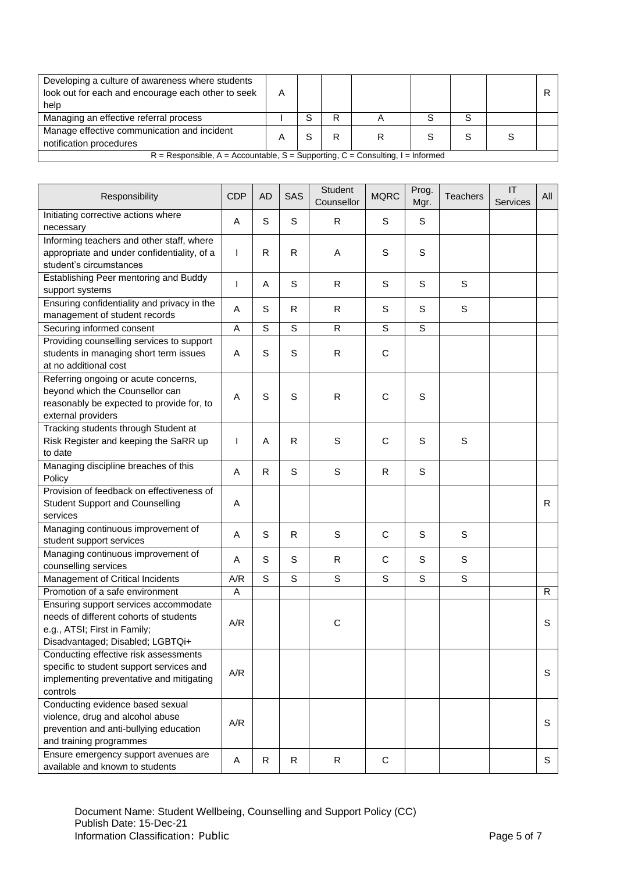| Developing a culture of awareness where students<br>look out for each and encourage each other to seek<br>help | А |  |   |  |  |   |  |  |
|----------------------------------------------------------------------------------------------------------------|---|--|---|--|--|---|--|--|
| Managing an effective referral process                                                                         |   |  | R |  |  | S |  |  |
| Manage effective communication and incident<br>notification procedures                                         |   |  | R |  |  |   |  |  |
| $R =$ Responsible, A = Accountable, S = Supporting, C = Consulting, I = Informed                               |   |  |   |  |  |   |  |  |

| Responsibility                                                                                                                                      | <b>CDP</b> | <b>AD</b> | SAS            | <b>Student</b><br>Counsellor | <b>MQRC</b> | Prog.<br>Mgr.  | <b>Teachers</b> | T <br>Services | All |
|-----------------------------------------------------------------------------------------------------------------------------------------------------|------------|-----------|----------------|------------------------------|-------------|----------------|-----------------|----------------|-----|
| Initiating corrective actions where<br>necessary                                                                                                    | Α          | S         | S              | R                            | S           | S              |                 |                |     |
| Informing teachers and other staff, where<br>appropriate and under confidentiality, of a<br>student's circumstances                                 | I.         | R         | R              | Α                            | S           | S              |                 |                |     |
| Establishing Peer mentoring and Buddy<br>support systems                                                                                            | T          | A         | $\mathsf S$    | R                            | S           | S              | $\mathsf S$     |                |     |
| Ensuring confidentiality and privacy in the<br>management of student records                                                                        | A          | S         | R              | R                            | $\mathsf S$ | S              | S               |                |     |
| Securing informed consent                                                                                                                           | Α          | S         | S              | R.                           | S           | $\overline{s}$ |                 |                |     |
| Providing counselling services to support<br>students in managing short term issues<br>at no additional cost                                        | Α          | S         | S              | R                            | С           |                |                 |                |     |
| Referring ongoing or acute concerns,<br>beyond which the Counsellor can<br>reasonably be expected to provide for, to<br>external providers          | Α          | S         | S              | R                            | С           | S              |                 |                |     |
| Tracking students through Student at<br>Risk Register and keeping the SaRR up<br>to date                                                            | 1          | A         | R              | S                            | С           | S              | $\mathsf S$     |                |     |
| Managing discipline breaches of this<br>Policy                                                                                                      | A          | R         | S              | S                            | R           | S              |                 |                |     |
| Provision of feedback on effectiveness of<br><b>Student Support and Counselling</b><br>services                                                     | A          |           |                |                              |             |                |                 |                | R   |
| Managing continuous improvement of<br>student support services                                                                                      | Α          | S         | R              | S                            | С           | S              | S               |                |     |
| Managing continuous improvement of<br>counselling services                                                                                          | Α          | S         | S              | R                            | С           | S              | S               |                |     |
| Management of Critical Incidents                                                                                                                    | A/R        | S         | $\overline{s}$ | S                            | S           | S              | $\mathsf{s}$    |                |     |
| Promotion of a safe environment                                                                                                                     | A          |           |                |                              |             |                |                 |                | R.  |
| Ensuring support services accommodate<br>needs of different cohorts of students<br>e.g., ATSI; First in Family;<br>Disadvantaged; Disabled; LGBTQi+ | A/R        |           |                | $\mathsf C$                  |             |                |                 |                | S   |
| Conducting effective risk assessments<br>specific to student support services and<br>implementing preventative and mitigating<br>controls           | A/R        |           |                |                              |             |                |                 |                | S   |
| Conducting evidence based sexual<br>violence, drug and alcohol abuse<br>prevention and anti-bullying education<br>and training programmes           | A/R        |           |                |                              |             |                |                 |                | S   |
| Ensure emergency support avenues are<br>available and known to students                                                                             | Α          | R         | $\mathsf{R}$   | $\mathsf{R}$                 | $\mathsf C$ |                |                 |                | S   |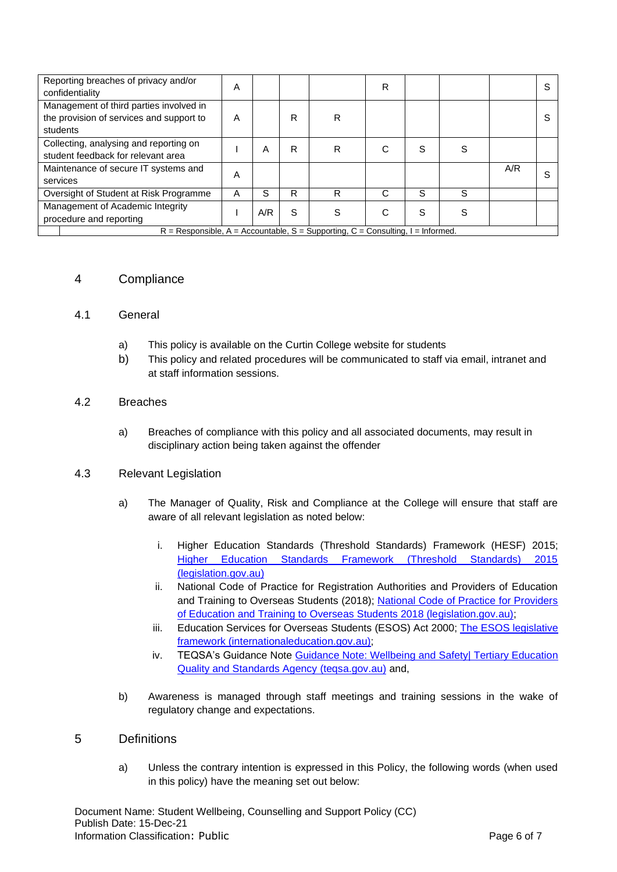| Reporting breaches of privacy and/or<br>confidentiality                                         | A |     |   |   | R |   |   |     | S |
|-------------------------------------------------------------------------------------------------|---|-----|---|---|---|---|---|-----|---|
| Management of third parties involved in<br>the provision of services and support to<br>students | A |     | R | R |   |   |   |     | S |
| Collecting, analysing and reporting on<br>student feedback for relevant area                    |   | А   | R | R |   | S | S |     |   |
| Maintenance of secure IT systems and<br>services                                                | Α |     |   |   |   |   |   | A/R | S |
| Oversight of Student at Risk Programme                                                          | A | S   | R | R | C | S | S |     |   |
| Management of Academic Integrity<br>procedure and reporting                                     |   | A/R | S | S | С | S | S |     |   |
| $R =$ Responsible, A = Accountable, S = Supporting, C = Consulting, I = Informed.               |   |     |   |   |   |   |   |     |   |

#### <span id="page-5-0"></span>4 Compliance

#### <span id="page-5-1"></span>4.1 General

- a) This policy is available on the Curtin College website for students
- b) This policy and related procedures will be communicated to staff via email, intranet and at staff information sessions.

#### <span id="page-5-2"></span>4.2 Breaches

a) Breaches of compliance with this policy and all associated documents, may result in disciplinary action being taken against the offender

#### <span id="page-5-3"></span>4.3 Relevant Legislation

- a) The Manager of Quality, Risk and Compliance at the College will ensure that staff are aware of all relevant legislation as noted below:
	- i. Higher Education Standards (Threshold Standards) Framework (HESF) 2015; [Higher Education Standards Framework \(Threshold Standards\) 2015](https://www.legislation.gov.au/Details/F2015L01639)  [\(legislation.gov.au\)](https://www.legislation.gov.au/Details/F2015L01639)
	- ii. National Code of Practice for Registration Authorities and Providers of Education and Training to Overseas Students (2018); National Code of Practice for Providers [of Education and Training to Overseas Students 2018 \(legislation.gov.au\);](https://www.legislation.gov.au/Details/F2017L01182)
	- iii. Education Services for Overseas Students (ESOS) Act 2000; [The ESOS legislative](https://internationaleducation.gov.au/regulatory-information/Education-Services-for-Overseas-Students-ESOS-Legislative-Framework/ESOS-Regulations/Pages/default.aspx)  [framework \(internationaleducation.gov.au\);](https://internationaleducation.gov.au/regulatory-information/Education-Services-for-Overseas-Students-ESOS-Legislative-Framework/ESOS-Regulations/Pages/default.aspx)
	- iv. TEQSA's Guidance Note Guidance Note: Wellbeing and Safetyl Tertiary Education [Quality and Standards Agency \(teqsa.gov.au\)](https://www.teqsa.gov.au/latest-news/publications/guidance-note-wellbeing-and-safety) and,
- b) Awareness is managed through staff meetings and training sessions in the wake of regulatory change and expectations.

#### <span id="page-5-4"></span>5 Definitions

a) Unless the contrary intention is expressed in this Policy, the following words (when used in this policy) have the meaning set out below: